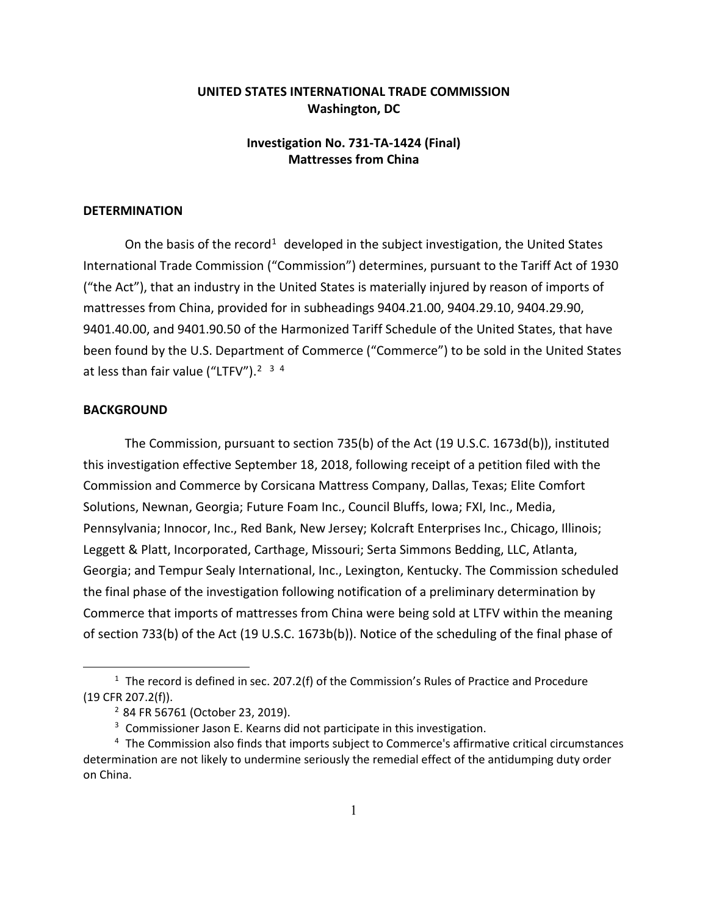## **UNITED STATES INTERNATIONAL TRADE COMMISSION Washington, DC**

## **Investigation No. 731-TA-1424 (Final) Mattresses from China**

## **DETERMINATION**

On the basis of the record<sup>[1](#page-0-0)</sup> developed in the subject investigation, the United States International Trade Commission ("Commission") determines, pursuant to the Tariff Act of 1930 ("the Act"), that an industry in the United States is materially injured by reason of imports of mattresses from China, provided for in subheadings 9404.21.00, 9404.29.10, 9404.29.90, 9401.40.00, and 9401.90.50 of the Harmonized Tariff Schedule of the United States, that have been found by the U.S. Department of Commerce ("Commerce") to be sold in the United States at less than fair value ("LTFV").<sup>2 [3](#page-0-2) [4](#page-0-3)</sup>

## **BACKGROUND**

 $\overline{a}$ 

The Commission, pursuant to section 735(b) of the Act (19 U.S.C. 1673d(b)), instituted this investigation effective September 18, 2018, following receipt of a petition filed with the Commission and Commerce by Corsicana Mattress Company, Dallas, Texas; Elite Comfort Solutions, Newnan, Georgia; Future Foam Inc., Council Bluffs, Iowa; FXI, Inc., Media, Pennsylvania; Innocor, Inc., Red Bank, New Jersey; Kolcraft Enterprises Inc., Chicago, Illinois; Leggett & Platt, Incorporated, Carthage, Missouri; Serta Simmons Bedding, LLC, Atlanta, Georgia; and Tempur Sealy International, Inc., Lexington, Kentucky. The Commission scheduled the final phase of the investigation following notification of a preliminary determination by Commerce that imports of mattresses from China were being sold at LTFV within the meaning of section 733(b) of the Act (19 U.S.C. 1673b(b)). Notice of the scheduling of the final phase of

<span id="page-0-1"></span><span id="page-0-0"></span><sup>&</sup>lt;sup>1</sup> The record is defined in sec. 207.2(f) of the Commission's Rules of Practice and Procedure (19 CFR 207.2(f)).

<sup>2</sup> 84 FR 56761 (October 23, 2019).

 $3$  Commissioner Jason E. Kearns did not participate in this investigation.

<span id="page-0-3"></span><span id="page-0-2"></span><sup>&</sup>lt;sup>4</sup> The Commission also finds that imports subject to Commerce's affirmative critical circumstances determination are not likely to undermine seriously the remedial effect of the antidumping duty order on China.